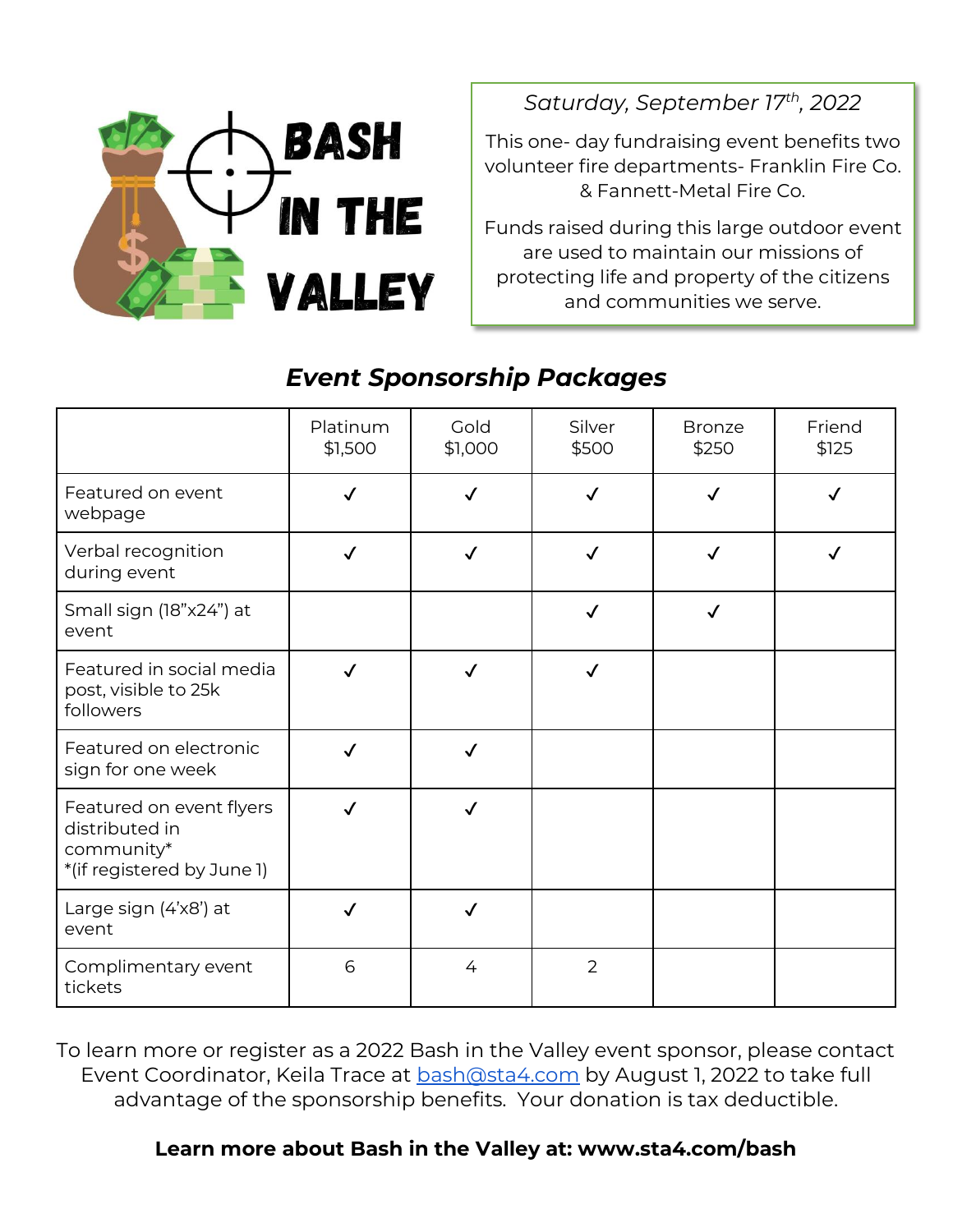

*Saturday, September 17th, 2022*

This one- day fundraising event benefits two volunteer fire departments- Franklin Fire Co. & Fannett-Metal Fire Co.

Funds raised during this large outdoor event are used to maintain our missions of protecting life and property of the citizens and communities we serve.

# *Event Sponsorship Packages*

|                                                                                        | Platinum<br>\$1,500 | Gold<br>\$1,000 | Silver<br>\$500 | <b>Bronze</b><br>\$250 | Friend<br>\$125 |
|----------------------------------------------------------------------------------------|---------------------|-----------------|-----------------|------------------------|-----------------|
| Featured on event<br>webpage                                                           | $\checkmark$        | √               | $\checkmark$    | $\checkmark$           |                 |
| Verbal recognition<br>during event                                                     | $\checkmark$        | √               | ✓               | $\checkmark$           |                 |
| Small sign (18"x24") at<br>event                                                       |                     |                 | $\checkmark$    | $\checkmark$           |                 |
| Featured in social media<br>post, visible to 25k<br>followers                          | $\checkmark$        | $\checkmark$    | $\checkmark$    |                        |                 |
| Featured on electronic<br>sign for one week                                            | $\checkmark$        | $\checkmark$    |                 |                        |                 |
| Featured on event flyers<br>distributed in<br>community*<br>*(if registered by June 1) | $\checkmark$        |                 |                 |                        |                 |
| Large sign (4'x8') at<br>event                                                         | $\checkmark$        | $\checkmark$    |                 |                        |                 |
| Complimentary event<br>tickets                                                         | 6                   | 4               | 2               |                        |                 |

To learn more or register as a 2022 Bash in the Valley event sponsor, please contact Event Coordinator, Keila Trace at **bash@sta4.com** by August 1, 2022 to take full advantage of the sponsorship benefits. Your donation is tax deductible.

#### **Learn more about Bash in the Valley at: www.sta4.com/bash**